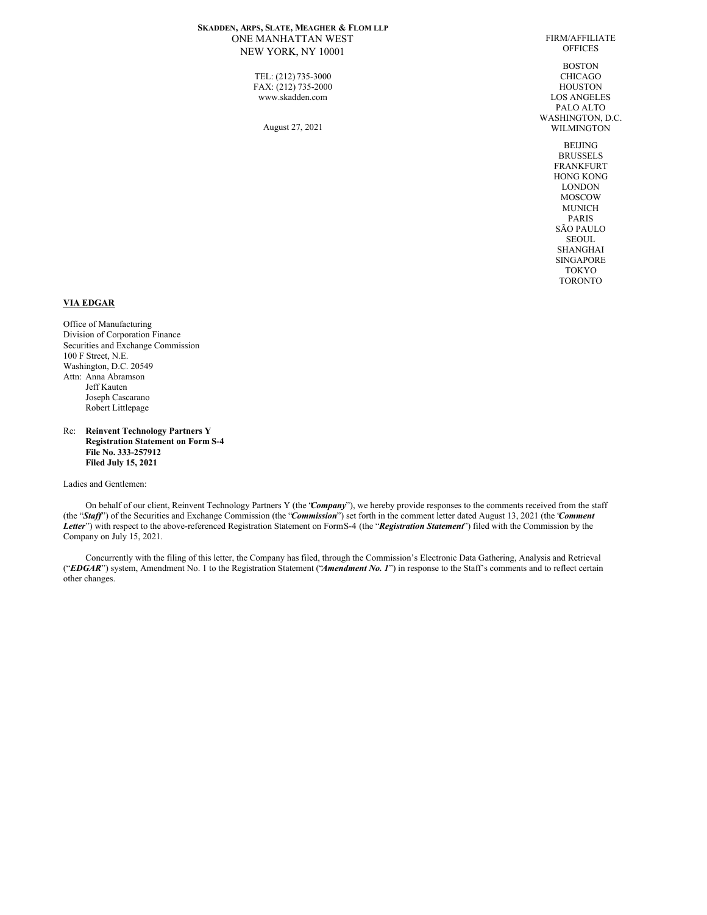# **SKADDEN, ARPS, SLATE, MEAGHER & FLOM LLP** ONE MANHATTAN WEST NEW YORK, NY 10001

TEL: (212) 735-3000 FAX: (212) 735-2000 www.skadden.com

August 27, 2021

FIRM/AFFILIATE **OFFICES** BOSTON CHICAGO HOUSTON LOS ANGELES PALO ALTO WASHINGTON, D.C. WILMINGTON BEIJING BRUSSELS FRANKFURT HONG KONG

LONDON MOSCOW MUNICH PARIS SÃO PAULO SEOUL SHANGHAI SINGAPORE TOKYO TORONTO

# **VIA EDGAR**

Office of Manufacturing Division of Corporation Finance Securities and Exchange Commission 100 F Street, N.E. Washington, D.C. 20549 Attn: Anna Abramson Jeff Kauten Joseph Cascarano Robert Littlepage

Re: **Reinvent Technology Partners Y Registration Statement on Form S-4 File No. 333-257912 Filed July 15, 2021**

Ladies and Gentlemen:

On behalf of our client, Reinvent Technology Partners Y (the "*Company*"), we hereby provide responses to the comments received from the staff (the "*Staf* ") of the Securities and Exchange Commission (the "*Commission*") set forth in the comment letter dated August 13, 2021 (the "*Comment Letter*") with respect to the above-referenced Registration Statement on FormS-4 (the "*Registration Statement*") filed with the Commission by the Company on July 15, 2021.

Concurrently with the filing of this letter, the Company has filed, through the Commission's Electronic Data Gathering, Analysis and Retrieval ("*EDGAR*") system, Amendment No. 1 to the Registration Statement ("*Amendment No. 1*") in response to the Staff's comments and to reflect certain other changes.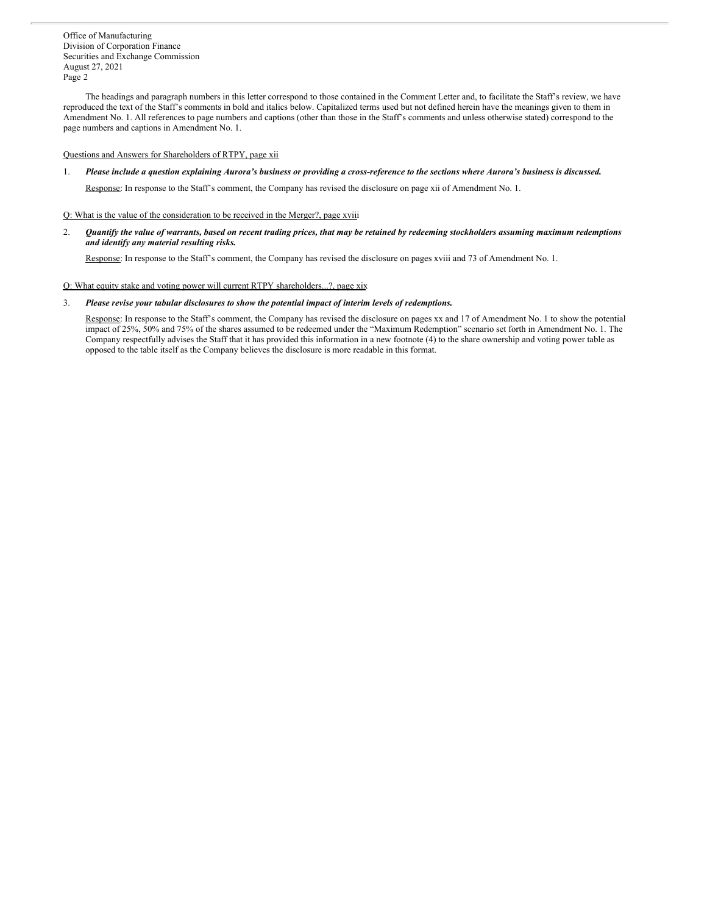The headings and paragraph numbers in this letter correspond to those contained in the Comment Letter and, to facilitate the Staff's review, we have reproduced the text of the Staff's comments in bold and italics below. Capitalized terms used but not defined herein have the meanings given to them in Amendment No. 1. All references to page numbers and captions (other than those in the Staff's comments and unless otherwise stated) correspond to the page numbers and captions in Amendment No. 1.

## Questions and Answers for Shareholders of RTPY, page xii

1. Please include a question explaining Aurora's business or providing a cross-reference to the sections where Aurora's business is discussed.

Response: In response to the Staff's comment, the Company has revised the disclosure on page xii of Amendment No. 1.

# Q: What is the value of the consideration to be received in the Merger?, page xviii

2. Quantify the value of warrants, based on recent trading prices, that may be retained by redeeming stockholders assuming maximum redemptions *and identify any material resulting risks.*

Response: In response to the Staff's comment, the Company has revised the disclosure on pages xviii and 73 of Amendment No. 1.

# Q: What equity stake and voting power will current RTPY shareholders...?, page xix

3. *Please revise your tabular disclosures to show the potential impact of interim levels of redemptions.*

Response: In response to the Staff's comment, the Company has revised the disclosure on pages xx and 17 of Amendment No. 1 to show the potential impact of 25%, 50% and 75% of the shares assumed to be redeemed under the "Maximum Redemption" scenario set forth in Amendment No. 1. The Company respectfully advises the Staff that it has provided this information in a new footnote (4) to the share ownership and voting power table as opposed to the table itself as the Company believes the disclosure is more readable in this format.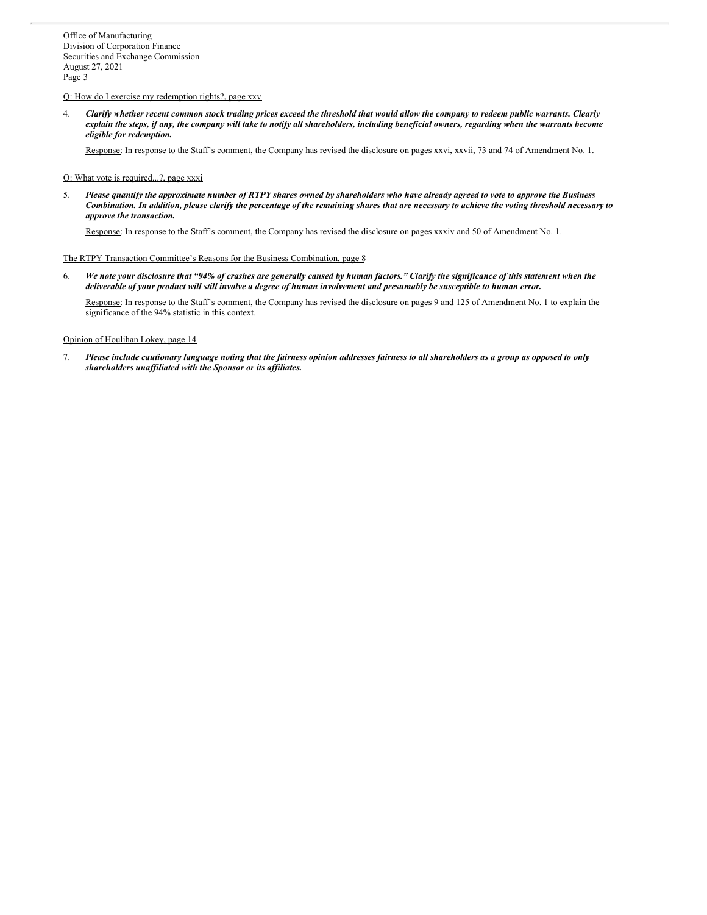#### Q: How do I exercise my redemption rights?, page xxv

4. Clarify whether recent common stock trading prices exceed the threshold that would allow the company to redeem public warrants. Clearly explain the steps, if any, the company will take to notify all shareholders, including beneficial owners, regarding when the warrants become *eligible for redemption.*

Response: In response to the Staff's comment, the Company has revised the disclosure on pages xxvi, xxvii, 73 and 74 of Amendment No. 1.

### Q: What vote is required...?, page xxxi

5. Please quantify the approximate number of RTPY shares owned by shareholders who have already agreed to vote to approve the Business Combination. In addition, please clarify the percentage of the remaining shares that are necessary to achieve the voting threshold necessary to *approve the transaction.*

Response: In response to the Staff's comment, the Company has revised the disclosure on pages xxxiv and 50 of Amendment No. 1.

# The RTPY Transaction Committee's Reasons for the Business Combination, page 8

6. We note your disclosure that "94% of crashes are generally caused by human factors." Clarify the significance of this statement when the deliverable of your product will still involve a degree of human involvement and presumably be susceptible to human error.

Response: In response to the Staff's comment, the Company has revised the disclosure on pages 9 and 125 of Amendment No. 1 to explain the significance of the 94% statistic in this context.

#### Opinion of Houlihan Lokey, page 14

7. Please include cautionary language noting that the fairness opinion addresses fairness to all shareholders as a group as opposed to only *shareholders unaf iliated with the Sponsor or its af iliates.*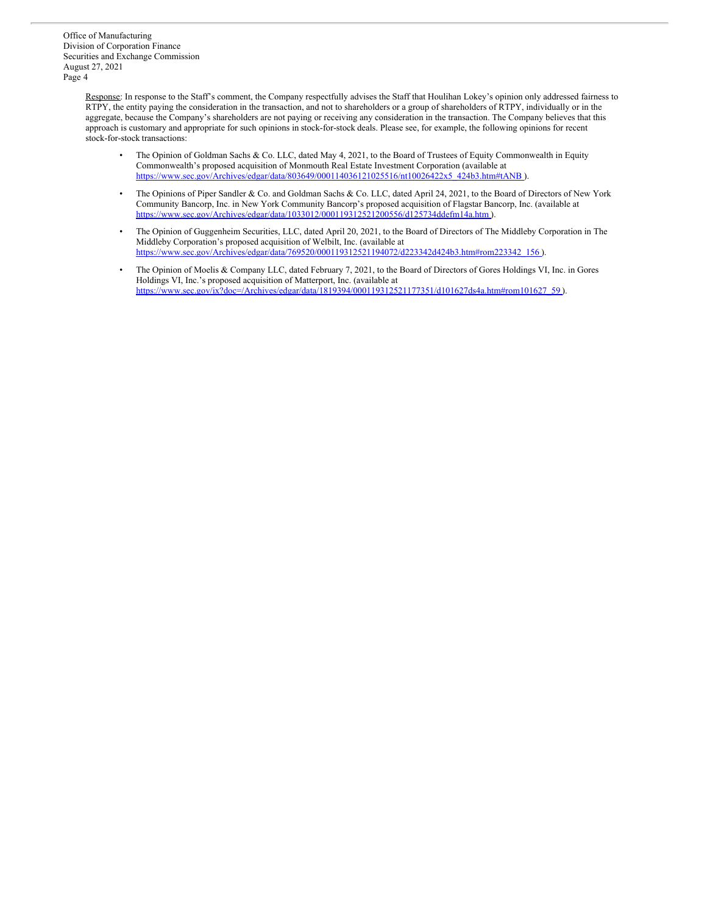> Response: In response to the Staff's comment, the Company respectfully advises the Staff that Houlihan Lokey's opinion only addressed fairness to RTPY, the entity paying the consideration in the transaction, and not to shareholders or a group of shareholders of RTPY, individually or in the aggregate, because the Company's shareholders are not paying or receiving any consideration in the transaction. The Company believes that this approach is customary and appropriate for such opinions in stock-for-stock deals. Please see, for example, the following opinions for recent stock-for-stock transactions:

- The Opinion of Goldman Sachs & Co. LLC, dated May 4, 2021, to the Board of Trustees of Equity Commonwealth in Equity Commonwealth's proposed acquisition of Monmouth Real Estate Investment Corporation (available at [https://www.sec.gov/Archives/edgar/data/803649/000114036121025516/nt10026422x5\\_424b3.htm#tANB](http://www.sec.gov/Archives/edgar/data/803649/000114036121025516/nt10026422x5_424b3.htm#tANB) ).
- The Opinions of Piper Sandler & Co. and Goldman Sachs & Co. LLC, dated April 24, 2021, to the Board of Directors of New York Community Bancorp, Inc. in New York Community Bancorp's proposed acquisition of Flagstar Bancorp, Inc. (available at [https://www.sec.gov/Archives/edgar/data/1033012/000119312521200556/d125734ddefm14a.htm](http://www.sec.gov/Archives/edgar/data/1033012/000119312521200556/d125734ddefm14a.htm) ).
- The Opinion of Guggenheim Securities, LLC, dated April 20, 2021, to the Board of Directors of The Middleby Corporation in The Middleby Corporation's proposed acquisition of Welbilt, Inc. (available at [https://www.sec.gov/Archives/edgar/data/769520/000119312521194072/d223342d424b3.htm#rom223342\\_156](http://www.sec.gov/Archives/edgar/data/769520/000119312521194072/d223342d424b3.htm#rom223342_156) ).
- The Opinion of Moelis & Company LLC, dated February 7, 2021, to the Board of Directors of Gores Holdings VI, Inc. in Gores Holdings VI, Inc.'s proposed acquisition of Matterport, Inc. (available at [https://www.sec.gov/ix?doc=/Archives/edgar/data/1819394/000119312521177351/d101627ds4a.htm#rom101627\\_59](http://www.sec.gov/ix?doc=/Archives/edgar/data/1819394/000119312521177351/d101627ds4a.htm#rom101627_59) ).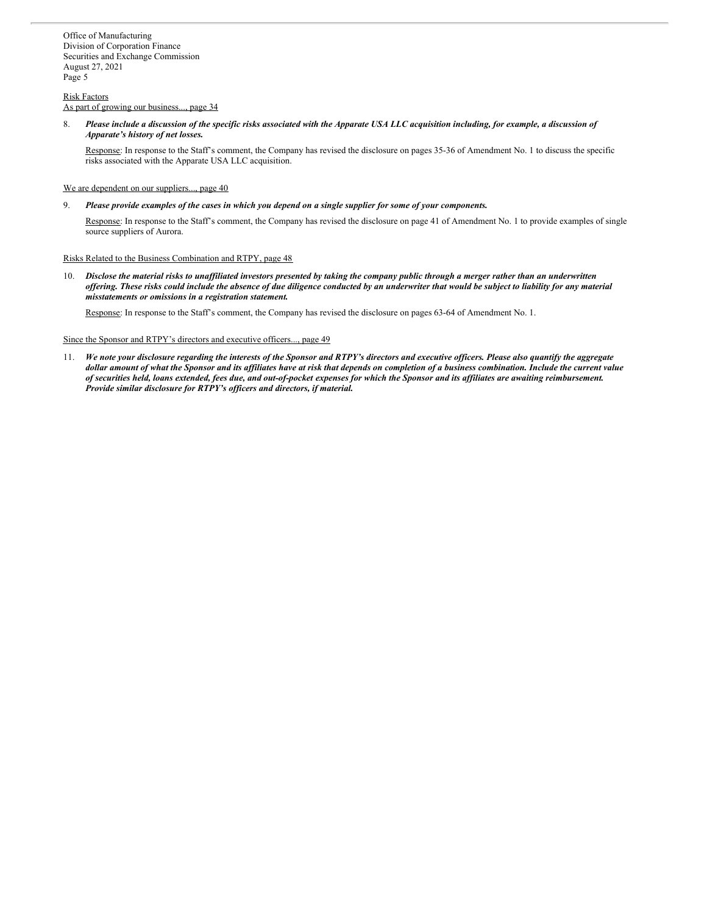## Risk Factors

As part of growing our business..., page 34

8. Please include a discussion of the specific risks associated with the Apparate USA LLC acquisition including, for example, a discussion of *Apparate's history of net losses.*

Response: In response to the Staff's comment, the Company has revised the disclosure on pages 35-36 of Amendment No. 1 to discuss the specific risks associated with the Apparate USA LLC acquisition.

We are dependent on our suppliers..., page 40

9. Please provide examples of the cases in which you depend on a single supplier for some of your components.

Response: In response to the Staff's comment, the Company has revised the disclosure on page 41 of Amendment No. 1 to provide examples of single source suppliers of Aurora.

## Risks Related to the Business Combination and RTPY, page 48

10. Disclose the material risks to unaffiliated investors presented by taking the company public through a merger rather than an underwritten offering. These risks could include the absence of due diligence conducted by an underwriter that would be subject to liability for any material *misstatements or omissions in a registration statement.*

Response: In response to the Staff's comment, the Company has revised the disclosure on pages 63-64 of Amendment No. 1.

#### Since the Sponsor and RTPY's directors and executive officers..., page 49

11. We note your disclosure regarding the interests of the Sponsor and RTPY's directors and executive officers. Please also quantify the aggregate dollar amount of what the Sponsor and its affiliates have at risk that depends on completion of a business combination. Include the current value of securities held, loans extended, fees due, and out-of-pocket expenses for which the Sponsor and its affiliates are awaiting reimbursement. *Provide similar disclosure for RTPY's of icers and directors, if material.*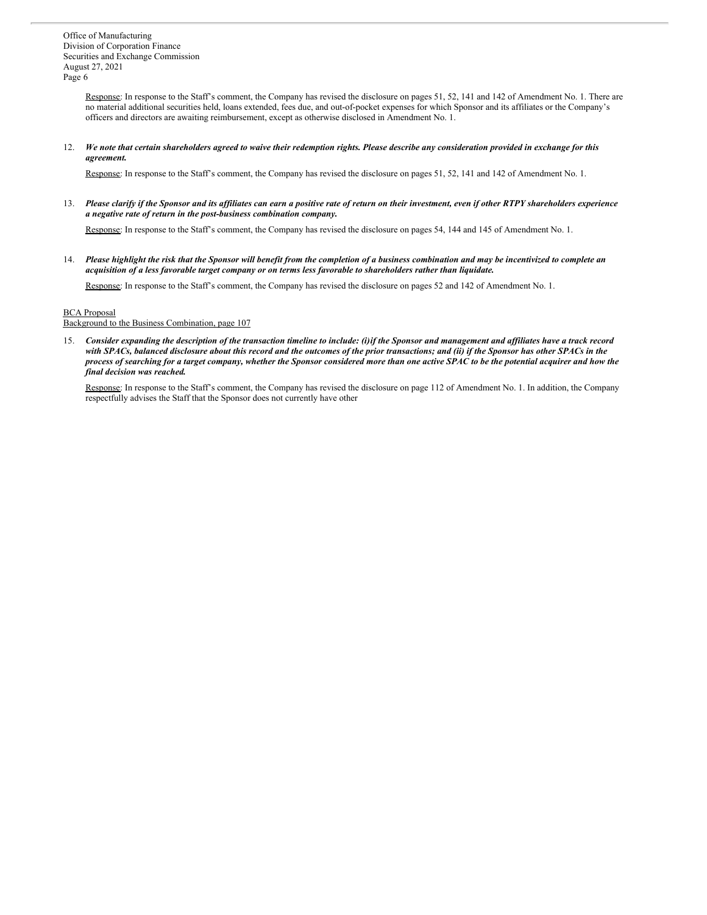> Response: In response to the Staff's comment, the Company has revised the disclosure on pages 51, 52, 141 and 142 of Amendment No. 1. There are no material additional securities held, loans extended, fees due, and out-of-pocket expenses for which Sponsor and its affiliates or the Company's officers and directors are awaiting reimbursement, except as otherwise disclosed in Amendment No. 1.

## 12. We note that certain shareholders agreed to waive their redemption rights. Please describe any consideration provided in exchange for this *agreement.*

Response: In response to the Staff's comment, the Company has revised the disclosure on pages 51, 52, 141 and 142 of Amendment No. 1.

13. Please clarify if the Sponsor and its affiliates can earn a positive rate of return on their investment, even if other RTPY shareholders experience *a negative rate of return in the post-business combination company.*

Response: In response to the Staff's comment, the Company has revised the disclosure on pages 54, 144 and 145 of Amendment No. 1.

14. Please highlight the risk that the Sponsor will benefit from the completion of a business combination and may be incentivized to complete an acquisition of a less favorable target company or on terms less favorable to shareholders rather than liquidate.

Response: In response to the Staff's comment, the Company has revised the disclosure on pages 52 and 142 of Amendment No. 1.

#### BCA Proposal

## Background to the Business Combination, page 107

15. Consider expanding the description of the transaction timeline to include: (i)if the Sponsor and management and affiliates have a track record with SPACs, balanced disclosure about this record and the outcomes of the prior transactions; and (ii) if the Sponsor has other SPACs in the process of searching for a target company, whether the Sponsor considered more than one active SPAC to be the potential acquirer and how the *final decision was reached.*

Response: In response to the Staff's comment, the Company has revised the disclosure on page 112 of Amendment No. 1. In addition, the Company respectfully advises the Staff that the Sponsor does not currently have other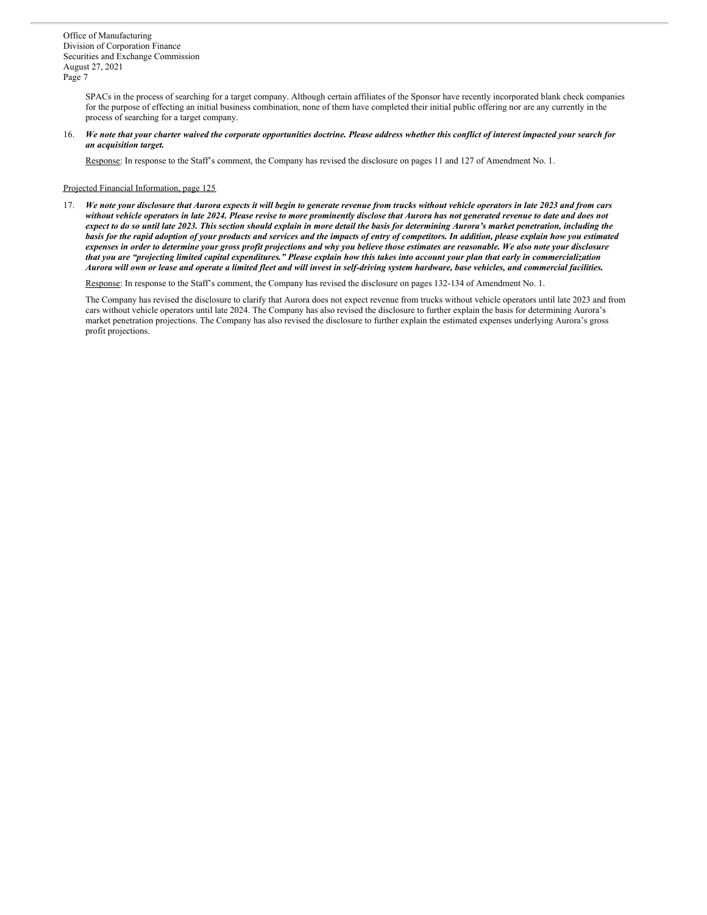SPACs in the process of searching for a target company. Although certain affiliates of the Sponsor have recently incorporated blank check companies for the purpose of effecting an initial business combination, none of them have completed their initial public offering nor are any currently in the process of searching for a target company.

16. We note that your charter waived the corporate opportunities doctrine. Please address whether this conflict of interest impacted your search for *an acquisition target.*

Response: In response to the Staff's comment, the Company has revised the disclosure on pages 11 and 127 of Amendment No. 1.

# Projected Financial Information, page 125

17. We note your disclosure that Aurora expects it will begin to generate revenue from trucks without vehicle operators in late 2023 and from cars without vehicle operators in late 2024. Please revise to more prominently disclose that Aurora has not generated revenue to date and does not expect to do so until late 2023. This section should explain in more detail the basis for determining Aurora's market penetration, including the basis for the rapid adoption of your products and services and the impacts of entry of competitors. In addition, please explain how you estimated expenses in order to determine your gross profit projections and why you believe those estimates are reasonable. We also note your disclosure that you are "projecting limited capital expenditures." Please explain how this takes into account your plan that early in commercialization Aurora will own or lease and operate a limited fleet and will invest in self-driving system hardware, base vehicles, and commercial facilities.

Response: In response to the Staff's comment, the Company has revised the disclosure on pages 132-134 of Amendment No. 1.

The Company has revised the disclosure to clarify that Aurora does not expect revenue from trucks without vehicle operators until late 2023 and from cars without vehicle operators until late 2024. The Company has also revised the disclosure to further explain the basis for determining Aurora's market penetration projections. The Company has also revised the disclosure to further explain the estimated expenses underlying Aurora's gross profit projections.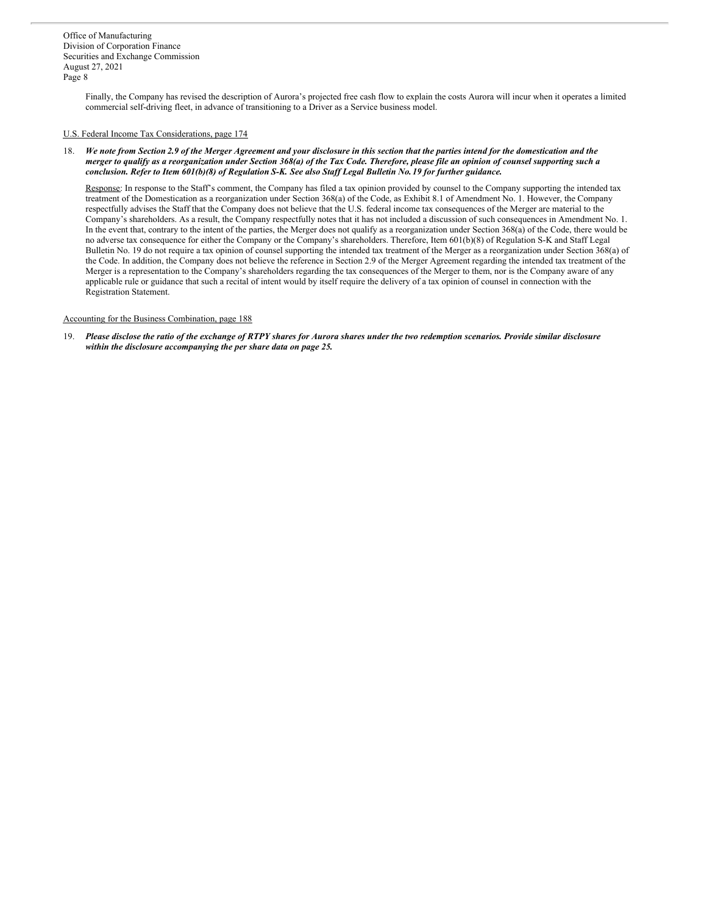> Finally, the Company has revised the description of Aurora's projected free cash flow to explain the costs Aurora will incur when it operates a limited commercial self-driving fleet, in advance of transitioning to a Driver as a Service business model.

# U.S. Federal Income Tax Considerations, page 174

18. We note from Section 2.9 of the Merger Agreement and your disclosure in this section that the parties intend for the domestication and the merger to qualify as a reorganization under Section 368(a) of the Tax Code. Therefore, please file an opinion of counsel supporting such a conclusion. Refer to Item 601(b)(8) of Regulation S-K. See also Staff Legal Bulletin No. 19 for further guidance.

Response: In response to the Staff's comment, the Company has filed a tax opinion provided by counsel to the Company supporting the intended tax treatment of the Domestication as a reorganization under Section 368(a) of the Code, as Exhibit 8.1 of Amendment No. 1. However, the Company respectfully advises the Staff that the Company does not believe that the U.S. federal income tax consequences of the Merger are material to the Company's shareholders. As a result, the Company respectfully notes that it has not included a discussion of such consequences in Amendment No. 1. In the event that, contrary to the intent of the parties, the Merger does not qualify as a reorganization under Section 368(a) of the Code, there would be no adverse tax consequence for either the Company or the Company's shareholders. Therefore, Item 601(b)(8) of Regulation S-K and Staff Legal Bulletin No. 19 do not require a tax opinion of counsel supporting the intended tax treatment of the Merger as a reorganization under Section 368(a) of the Code. In addition, the Company does not believe the reference in Section 2.9 of the Merger Agreement regarding the intended tax treatment of the Merger is a representation to the Company's shareholders regarding the tax consequences of the Merger to them, nor is the Company aware of any applicable rule or guidance that such a recital of intent would by itself require the delivery of a tax opinion of counsel in connection with the Registration Statement.

# Accounting for the Business Combination, page 188

19. Please disclose the ratio of the exchange of RTPY shares for Aurora shares under the two redemption scenarios. Provide similar disclosure *within the disclosure accompanying the per share data on page 25.*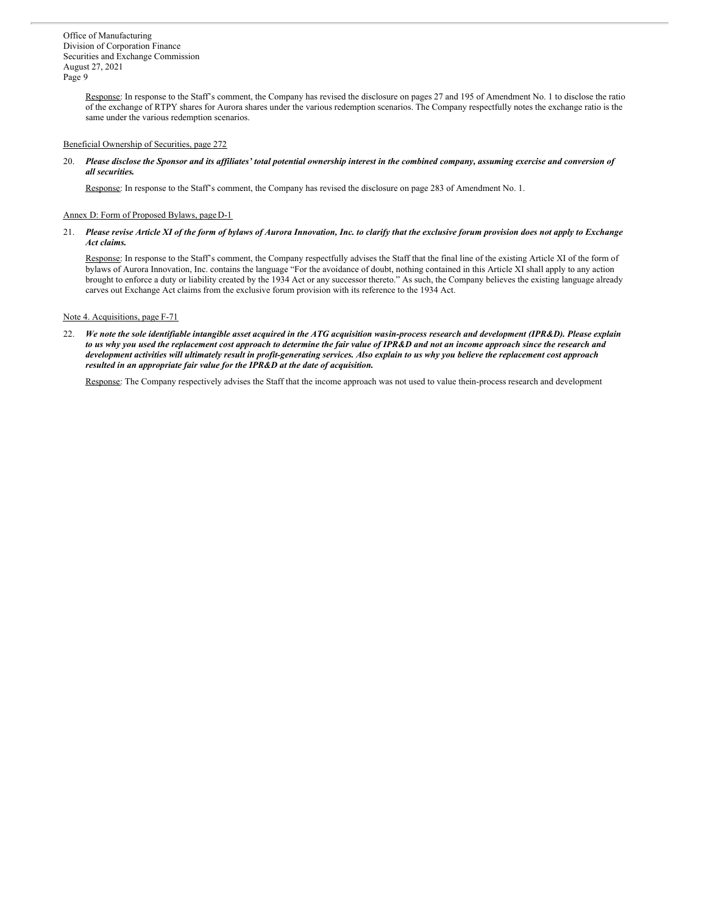> Response: In response to the Staff's comment, the Company has revised the disclosure on pages 27 and 195 of Amendment No. 1 to disclose the ratio of the exchange of RTPY shares for Aurora shares under the various redemption scenarios. The Company respectfully notes the exchange ratio is the same under the various redemption scenarios.

# Beneficial Ownership of Securities, page 272

20. Please disclose the Sponsor and its affiliates' total potential ownership interest in the combined company, assuming exercise and conversion of *all securities.*

Response: In response to the Staff's comment, the Company has revised the disclosure on page 283 of Amendment No. 1.

#### Annex D: Form of Proposed Bylaws, pageD-1

21. Please revise Article XI of the form of bylaws of Aurora Innovation, Inc. to clarify that the exclusive forum provision does not apply to Exchange *Act claims.*

Response: In response to the Staff's comment, the Company respectfully advises the Staff that the final line of the existing Article XI of the form of bylaws of Aurora Innovation, Inc. contains the language "For the avoidance of doubt, nothing contained in this Article XI shall apply to any action brought to enforce a duty or liability created by the 1934 Act or any successor thereto." As such, the Company believes the existing language already carves out Exchange Act claims from the exclusive forum provision with its reference to the 1934 Act.

#### Note 4. Acquisitions, page F-71

22. We note the sole identifiable intangible asset acquired in the ATG acquisition wasin-process research and development (IPR&D). Please explain to us why you used the replacement cost approach to determine the fair value of IPR&D and not an income approach since the research and development activities will ultimately result in profit-generating services. Also explain to us why you believe the replacement cost approach *resulted in an appropriate fair value for the IPR&D at the date of acquisition.*

Response: The Company respectively advises the Staff that the income approach was not used to value thein-process research and development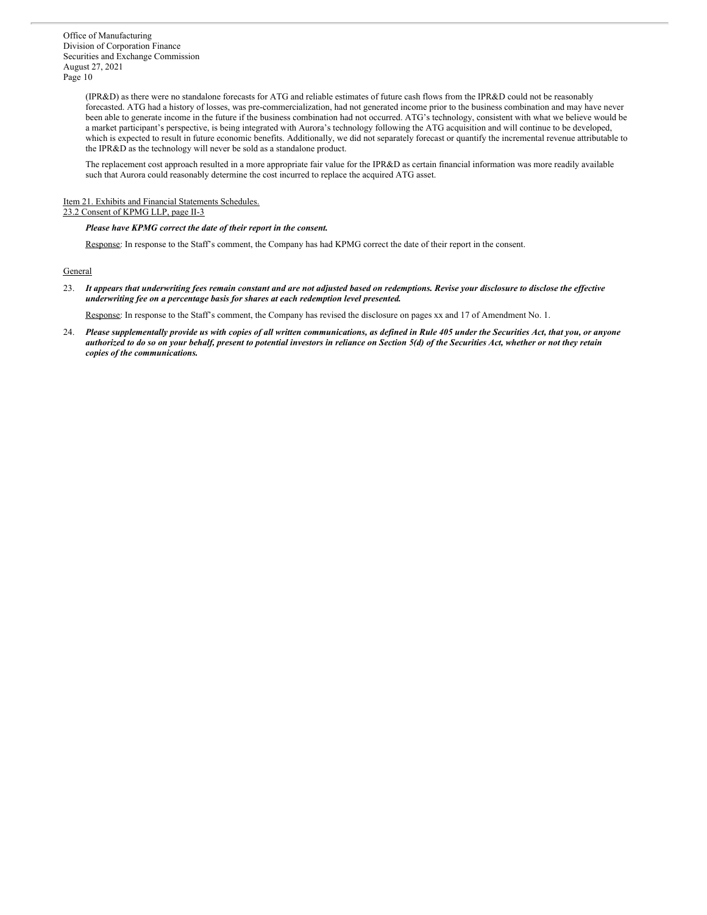> (IPR&D) as there were no standalone forecasts for ATG and reliable estimates of future cash flows from the IPR&D could not be reasonably forecasted. ATG had a history of losses, was pre-commercialization, had not generated income prior to the business combination and may have never been able to generate income in the future if the business combination had not occurred. ATG's technology, consistent with what we believe would be a market participant's perspective, is being integrated with Aurora's technology following the ATG acquisition and will continue to be developed, which is expected to result in future economic benefits. Additionally, we did not separately forecast or quantify the incremental revenue attributable to the IPR&D as the technology will never be sold as a standalone product.

The replacement cost approach resulted in a more appropriate fair value for the IPR&D as certain financial information was more readily available such that Aurora could reasonably determine the cost incurred to replace the acquired ATG asset.

# Item 21. Exhibits and Financial Statements Schedules.

# 23.2 Consent of KPMG LLP, page II-3

# *Please have KPMG correct the date of their report in the consent.*

Response: In response to the Staff's comment, the Company has had KPMG correct the date of their report in the consent.

## **General**

23. It appears that underwriting fees remain constant and are not adjusted based on redemptions. Revise your disclosure to disclose the effective *underwriting fee on a percentage basis for shares at each redemption level presented.*

Response: In response to the Staff's comment, the Company has revised the disclosure on pages xx and 17 of Amendment No. 1.

24. Please supplementally provide us with copies of all written communications, as defined in Rule 405 under the Securities Act, that you, or anyone authorized to do so on your behalf, present to potential investors in reliance on Section 5(d) of the Securities Act, whether or not they retain *copies of the communications.*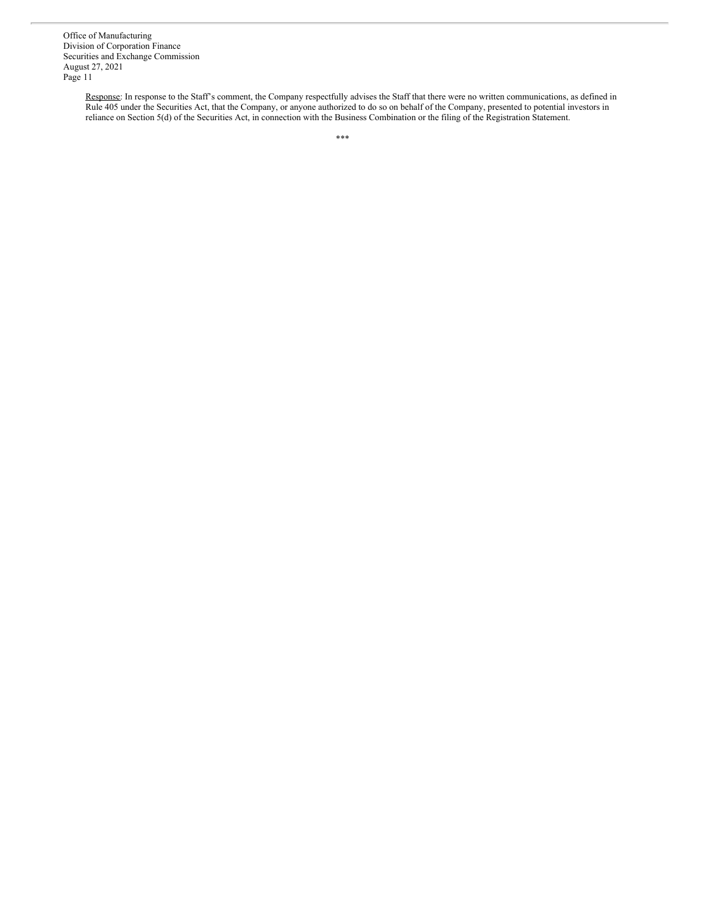> Response: In response to the Staff's comment, the Company respectfully advises the Staff that there were no written communications, as defined in Rule 405 under the Securities Act, that the Company, or anyone authorized to do so on behalf of the Company, presented to potential investors in reliance on Section 5(d) of the Securities Act, in connection with the Business Combination or the filing of the Registration Statement.